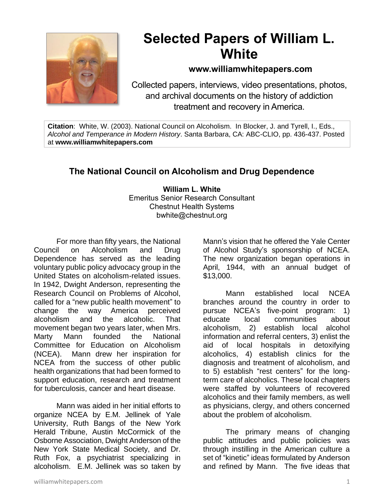

# **Selected Papers of William L. White**

### **www.williamwhitepapers.com**

Collected papers, interviews, video presentations, photos, and archival documents on the history of addiction treatment and recovery in America.

**Citation**: White, W. (2003). National Council on Alcoholism. In Blocker, J. and Tyrell, I., Eds., *Alcohol and Temperance in Modern History*. Santa Barbara, CA: ABC-CLIO, pp. 436-437. Posted at **www.williamwhitepapers.com**

## **The National Council on Alcoholism and Drug Dependence**

**William L. White** Emeritus Senior Research Consultant Chestnut Health Systems bwhite@chestnut.org

For more than fifty years, the National Council on Alcoholism and Drug Dependence has served as the leading voluntary public policy advocacy group in the United States on alcoholism-related issues. In 1942, Dwight Anderson, representing the Research Council on Problems of Alcohol, called for a "new public health movement" to change the way America perceived alcoholism and the alcoholic. That movement began two years later, when Mrs. Marty Mann founded the National Committee for Education on Alcoholism (NCEA). Mann drew her inspiration for NCEA from the success of other public health organizations that had been formed to support education, research and treatment for tuberculosis, cancer and heart disease.

Mann was aided in her initial efforts to organize NCEA by E.M. Jellinek of Yale University, Ruth Bangs of the New York Herald Tribune, Austin McCormick of the Osborne Association, Dwight Anderson of the New York State Medical Society, and Dr. Ruth Fox, a psychiatrist specializing in alcoholism. E.M. Jellinek was so taken by Mann's vision that he offered the Yale Center of Alcohol Study's sponsorship of NCEA. The new organization began operations in April, 1944, with an annual budget of \$13,000.

Mann established local NCEA branches around the country in order to pursue NCEA's five-point program: 1) educate local communities about alcoholism, 2) establish local alcohol information and referral centers, 3) enlist the aid of local hospitals in detoxifying alcoholics, 4) establish clinics for the diagnosis and treatment of alcoholism, and to 5) establish "rest centers" for the longterm care of alcoholics. These local chapters were staffed by volunteers of recovered alcoholics and their family members, as well as physicians, clergy, and others concerned about the problem of alcoholism.

The primary means of changing public attitudes and public policies was through instilling in the American culture a set of "kinetic" ideas formulated by Anderson and refined by Mann. The five ideas that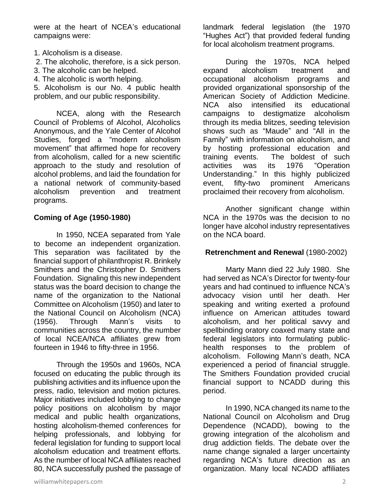were at the heart of NCEA's educational campaigns were:

- 1. Alcoholism is a disease.
- 2. The alcoholic, therefore, is a sick person.
- 3. The alcoholic can be helped.
- 4. The alcoholic is worth helping.

5. Alcoholism is our No. 4 public health problem, and our public responsibility.

NCEA, along with the Research Council of Problems of Alcohol, Alcoholics Anonymous, and the Yale Center of Alcohol Studies, forged a "modern alcoholism movement" that affirmed hope for recovery from alcoholism, called for a new scientific approach to the study and resolution of alcohol problems, and laid the foundation for a national network of community-based alcoholism prevention and treatment programs.

#### **Coming of Age (1950-1980)**

In 1950, NCEA separated from Yale to become an independent organization. This separation was facilitated by the financial support of philanthropist R. Brinkely Smithers and the Christopher D. Smithers Foundation. Signaling this new independent status was the board decision to change the name of the organization to the National Committee on Alcoholism (1950) and later to the National Council on Alcoholism (NCA) (1956). Through Mann's visits to communities across the country, the number of local NCEA/NCA affiliates grew from fourteen in 1946 to fifty-three in 1956.

Through the 1950s and 1960s, NCA focused on educating the public through its publishing activities and its influence upon the press, radio, television and motion pictures. Major initiatives included lobbying to change policy positions on alcoholism by major medical and public health organizations, hosting alcoholism-themed conferences for helping professionals, and lobbying for federal legislation for funding to support local alcoholism education and treatment efforts. As the number of local NCA affiliates reached 80, NCA successfully pushed the passage of landmark federal legislation (the 1970 "Hughes Act") that provided federal funding for local alcoholism treatment programs.

During the 1970s, NCA helped expand alcoholism treatment and occupational alcoholism programs and provided organizational sponsorship of the American Society of Addiction Medicine. NCA also intensified its educational campaigns to destigmatize alcoholism through its media blitzes, seeding television shows such as "Maude" and "All in the Family" with information on alcoholism, and by hosting professional education and training events. The boldest of such activities was its 1976 "Operation Understanding." In this highly publicized event, fifty-two prominent Americans proclaimed their recovery from alcoholism.

Another significant change within NCA in the 1970s was the decision to no longer have alcohol industry representatives on the NCA board.

#### **Retrenchment and Renewal** (1980-2002)

Marty Mann died 22 July 1980. She had served as NCA's Director for twenty-four years and had continued to influence NCA's advocacy vision until her death. Her speaking and writing exerted a profound influence on American attitudes toward alcoholism, and her political savvy and spellbinding oratory coaxed many state and federal legislators into formulating publichealth responses to the problem of alcoholism. Following Mann's death, NCA experienced a period of financial struggle. The Smithers Foundation provided crucial financial support to NCADD during this period.

In 1990, NCA changed its name to the National Council on Alcoholism and Drug Dependence (NCADD), bowing to the growing integration of the alcoholism and drug addiction fields. The debate over the name change signaled a larger uncertainty regarding NCA's future direction as an organization. Many local NCADD affiliates